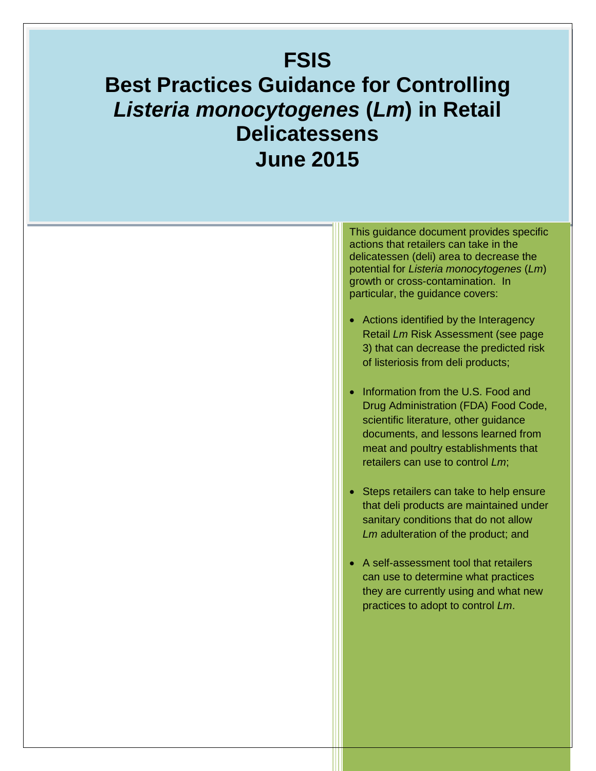# **FSIS Best Practices Guidance for Controlling**  *Listeria monocytogenes* **(***Lm***) in Retail Delicatessens June 2015**

This guidance document provides specific actions that retailers can take in the delicatessen (deli) area to decrease the potential for *Listeria monocytogenes* (*Lm*) growth or cross-contamination. In particular, the guidance covers:

- Actions identified by the Interagency Retail *Lm* Risk Assessment (see page 3) that can decrease the predicted risk of listeriosis from deli products;
- Information from the U.S. Food and Drug Administration (FDA) Food Code, scientific literature, other guidance documents, and lessons learned from meat and poultry establishments that retailers can use to control *Lm*;
- Steps retailers can take to help ensure that deli products are maintained under sanitary conditions that do not allow *Lm* adulteration of the product; and
- A self-assessment tool that retailers can use to determine what practices they are currently using and what new practices to adopt to control *Lm*.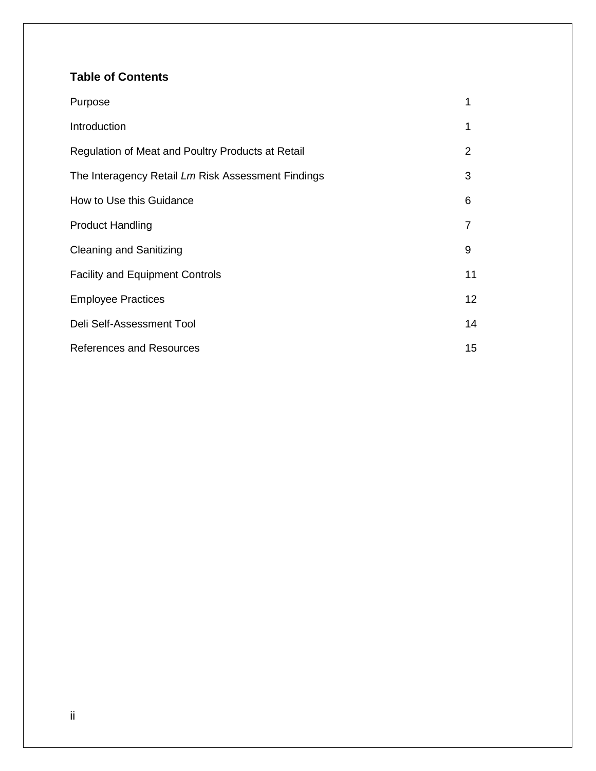## **Table of Contents**

| Purpose                                            | 1  |
|----------------------------------------------------|----|
| Introduction                                       | 1  |
| Regulation of Meat and Poultry Products at Retail  | 2  |
| The Interagency Retail Lm Risk Assessment Findings | 3  |
| How to Use this Guidance                           | 6  |
| <b>Product Handling</b>                            | 7  |
| <b>Cleaning and Sanitizing</b>                     | 9  |
| <b>Facility and Equipment Controls</b>             | 11 |
| <b>Employee Practices</b>                          | 12 |
| Deli Self-Assessment Tool                          | 14 |
| <b>References and Resources</b>                    | 15 |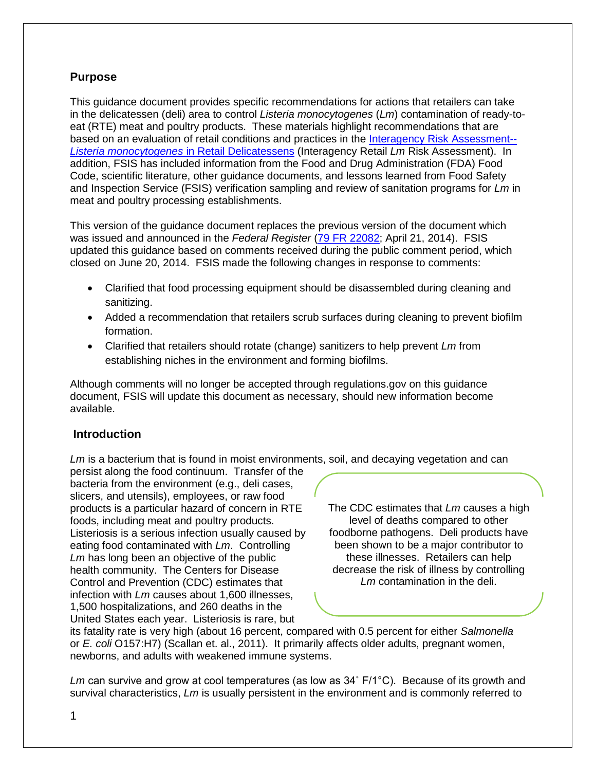## **Purpose**

This guidance document provides specific recommendations for actions that retailers can take in the delicatessen (deli) area to control *Listeria monocytogenes* (*Lm*) contamination of ready-toeat (RTE) meat and poultry products. These materials highlight recommendations that are based on an evaluation of retail conditions and practices in the [Interagency Risk Assessment--](http://www.fsis.usda.gov/wps/portal/fsis/topics/science/risk-assessments/risk-assessments) *[Listeria monocytogenes](http://www.fsis.usda.gov/wps/portal/fsis/topics/science/risk-assessments/risk-assessments)* in Retail Delicatessens (Interagency Retail *Lm* Risk Assessment). In addition, FSIS has included information from the Food and Drug Administration (FDA) Food Code, scientific literature, other guidance documents, and lessons learned from Food Safety and Inspection Service (FSIS) verification sampling and review of sanitation programs for *Lm* in meat and poultry processing establishments.

This version of the guidance document replaces the previous version of the document which was issued and announced in the *Federal Register* [\(79 FR 22082;](http://www.fsis.usda.gov/wps/wcm/connect/90683a41-7d0d-434d-a3f5-cdc50a749100/2013-0038.pdf?MOD=AJPERES) April 21, 2014). FSIS updated this guidance based on comments received during the public comment period, which closed on June 20, 2014. FSIS made the following changes in response to comments:

- Clarified that food processing equipment should be disassembled during cleaning and sanitizing.
- Added a recommendation that retailers scrub surfaces during cleaning to prevent biofilm formation.
- Clarified that retailers should rotate (change) sanitizers to help prevent *Lm* from establishing niches in the environment and forming biofilms.

Although comments will no longer be accepted through regulations.gov on this guidance document, FSIS will update this document as necessary, should new information become available.

## **Introduction**

*Lm* is a bacterium that is found in moist environments, soil, and decaying vegetation and can

persist along the food continuum. Transfer of the bacteria from the environment (e.g., deli cases, slicers, and utensils), employees, or raw food products is a particular hazard of concern in RTE foods, including meat and poultry products. Listeriosis is a serious infection usually caused by eating food contaminated with *Lm*. Controlling Lm has long been an objective of the public health community. The Centers for Disease Control and Prevention (CDC) estimates that infection with *Lm* causes about 1,600 illnesses, 1,500 hospitalizations, and 260 deaths in the United States each year. Listeriosis is rare, but

The CDC estimates that *Lm* causes a high level of deaths compared to other foodborne pathogens. Deli products have been shown to be a major contributor to these illnesses. Retailers can help decrease the risk of illness by controlling *Lm* contamination in the deli.

its fatality rate is very high (about 16 percent, compared with 0.5 percent for either *Salmonella* or *E. coli* O157:H7) (Scallan et. al., 2011). It primarily affects older adults, pregnant women, newborns, and adults with weakened immune systems.

*Lm* can survive and grow at cool temperatures (as low as 34˚ F/1°C). Because of its growth and survival characteristics, *Lm* is usually persistent in the environment and is commonly referred to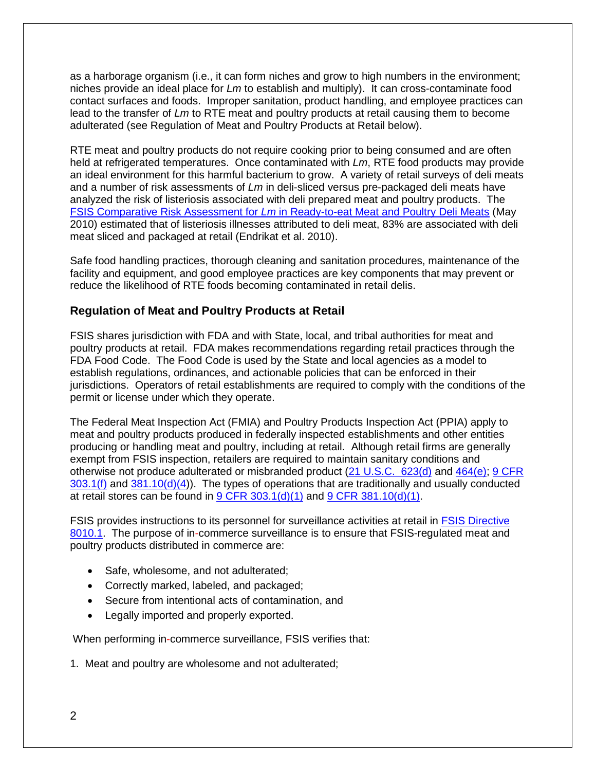as a harborage organism (i.e., it can form niches and grow to high numbers in the environment; niches provide an ideal place for *Lm* to establish and multiply). It can cross-contaminate food contact surfaces and foods. Improper sanitation, product handling, and employee practices can lead to the transfer of *Lm* to RTE meat and poultry products at retail causing them to become adulterated (see Regulation of Meat and Poultry Products at Retail below).

RTE meat and poultry products do not require cooking prior to being consumed and are often held at refrigerated temperatures. Once contaminated with *Lm*, RTE food products may provide an ideal environment for this harmful bacterium to grow. A variety of retail surveys of deli meats and a number of risk assessments of *Lm* in deli-sliced versus pre-packaged deli meats have analyzed the risk of listeriosis associated with deli prepared meat and poultry products. The [FSIS Comparative Risk Assessment for](http://www.fsis.usda.gov/wps/portal/fsis/topics/science/risk-assessments) *Lm* in Ready-to-eat Meat and Poultry Deli Meats (May 2010) estimated that of listeriosis illnesses attributed to deli meat, 83% are associated with deli meat sliced and packaged at retail (Endrikat et al. 2010).

Safe food handling practices, thorough cleaning and sanitation procedures, maintenance of the facility and equipment, and good employee practices are key components that may prevent or reduce the likelihood of RTE foods becoming contaminated in retail delis.

## **Regulation of Meat and Poultry Products at Retail**

FSIS shares jurisdiction with FDA and with State, local, and tribal authorities for meat and poultry products at retail. FDA makes recommendations regarding retail practices through the FDA Food Code. The Food Code is used by the State and local agencies as a model to establish regulations, ordinances, and actionable policies that can be enforced in their jurisdictions. Operators of retail establishments are required to comply with the conditions of the permit or license under which they operate.

The Federal Meat Inspection Act (FMIA) and Poultry Products Inspection Act (PPIA) apply to meat and poultry products produced in federally inspected establishments and other entities producing or handling meat and poultry, including at retail. Although retail firms are generally exempt from FSIS inspection, retailers are required to maintain sanitary conditions and otherwise not produce adulterated or misbranded product [\(21 U.S.C. 623\(d\)](http://uscode.house.gov/view.xhtml?req=granuleid:USC-prelim-title21-section623&num=0&edition=prelim) and [464\(e\);](http://uscode.house.gov/view.xhtml?req=granuleid:USC-prelim-title21-section464&num=0&edition=prelimhttp://uscodebeta.house.gov/view.xhtml?req=granuleid:USC-prelim-title21-section464&num=0&edition=prelim) [9 CFR](http://www.gpo.gov/fdsys/pkg/CFR-2012-title9-vol2/pdf/CFR-2012-title9-vol2-sec303-1.pdf)   $303.1(f)$  and  $381.10(d)(4)$ . The types of operations that are traditionally and usually conducted at retail stores can be found in  $9$  CFR 303.1(d)(1) and  $9$  CFR 381.10(d)(1).

FSIS provides instructions to its personnel for surveillance activities at retail in [FSIS Directive](http://www.fsis.usda.gov/wps/wcm/connect/66a3ae47-3a55-426e-8bab-ea7b2175c9be/8010.1.pdf?MOD=AJPERES)  [8010.1.](http://www.fsis.usda.gov/wps/wcm/connect/66a3ae47-3a55-426e-8bab-ea7b2175c9be/8010.1.pdf?MOD=AJPERES) The purpose of in-commerce surveillance is to ensure that FSIS-regulated meat and poultry products distributed in commerce are:

- Safe, wholesome, and not adulterated;
- Correctly marked, labeled, and packaged;
- Secure from intentional acts of contamination, and
- Legally imported and properly exported.

When performing in-commerce surveillance, FSIS verifies that:

1. Meat and poultry are wholesome and not adulterated;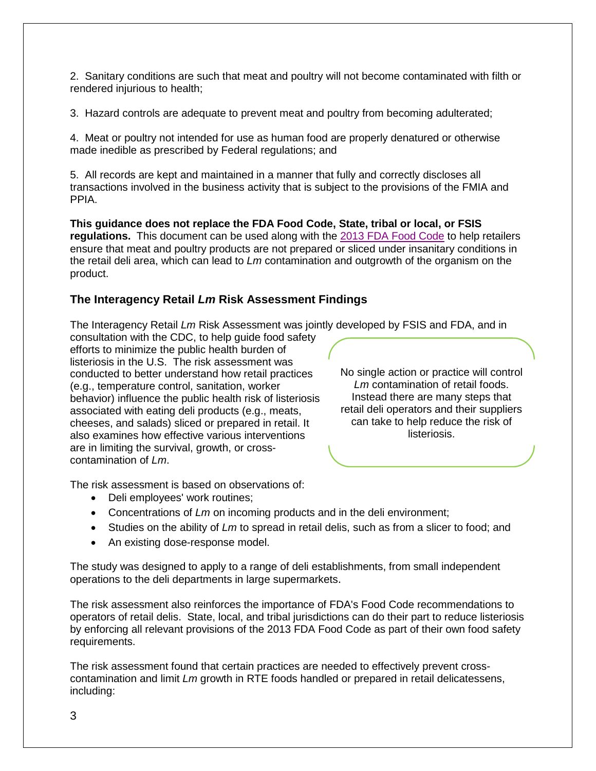2. Sanitary conditions are such that meat and poultry will not become contaminated with filth or rendered injurious to health;

3. Hazard controls are adequate to prevent meat and poultry from becoming adulterated;

4. Meat or poultry not intended for use as human food are properly denatured or otherwise made inedible as prescribed by Federal regulations; and

5. All records are kept and maintained in a manner that fully and correctly discloses all transactions involved in the business activity that is subject to the provisions of the FMIA and PPIA.

**This guidance does not replace the FDA Food Code, State, tribal or local, or FSIS regulations.** This document can be used along with the 2013 [FDA Food Code](http://www.fda.gov/Food/GuidanceRegulation/RetailFoodProtection/FoodCode/ucm374275.htm) to help retailers ensure that meat and poultry products are not prepared or sliced under insanitary conditions in the retail deli area, which can lead to *Lm* contamination and outgrowth of the organism on the product.

## **The Interagency Retail** *Lm* **Risk Assessment Findings**

The Interagency Retail *Lm* Risk Assessment was jointly developed by FSIS and FDA, and in

consultation with the CDC, to help guide food safety efforts to minimize the public health burden of listeriosis in the U.S. The risk assessment was conducted to better understand how retail practices (e.g., temperature control, sanitation, worker behavior) influence the public health risk of listeriosis associated with eating deli products (e.g., meats, cheeses, and salads) sliced or prepared in retail. It also examines how effective various interventions are in limiting the survival, growth, or crosscontamination of *Lm*.

No single action or practice will control *Lm* contamination of retail foods. Instead there are many steps that retail deli operators and their suppliers can take to help reduce the risk of listeriosis.

The risk assessment is based on observations of:

- Deli employees' work routines;
- Concentrations of *Lm* on incoming products and in the deli environment;
- Studies on the ability of *Lm* to spread in retail delis, such as from a slicer to food; and
- An existing dose-response model.

The study was designed to apply to a range of deli establishments, from small independent operations to the deli departments in large supermarkets.

The risk assessment also reinforces the importance of FDA's Food Code recommendations to operators of retail delis. State, local, and tribal jurisdictions can do their part to reduce listeriosis by enforcing all relevant provisions of the 2013 FDA Food Code as part of their own food safety requirements.

The risk assessment found that certain practices are needed to effectively prevent crosscontamination and limit *Lm* growth in RTE foods handled or prepared in retail delicatessens, including: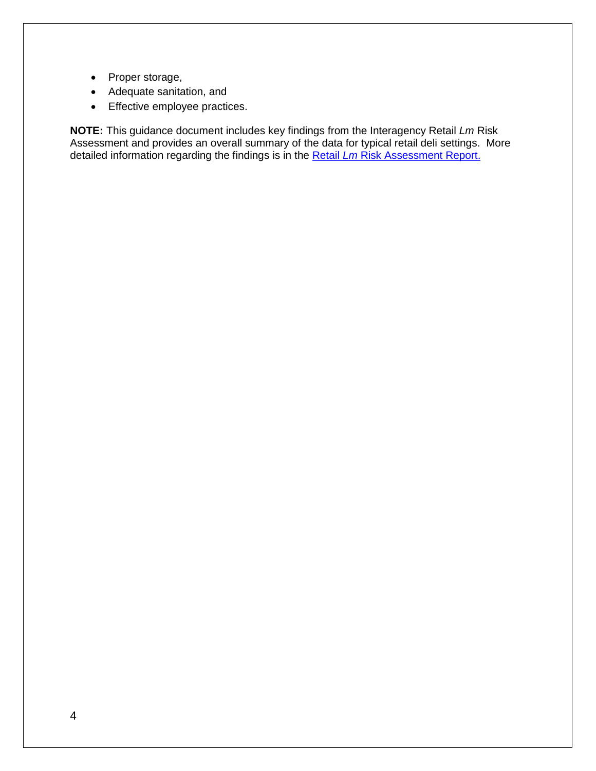- Proper storage,
- Adequate sanitation, and
- Effective employee practices.

**NOTE:** This guidance document includes key findings from the Interagency Retail *Lm* Risk Assessment and provides an overall summary of the data for typical retail deli settings. More detailed information regarding the findings is in the Retail *Lm* [Risk Assessment Report.](http://www.fsis.usda.gov/wps/portal/fsis/topics/science/risk-assessments/risk-assessments)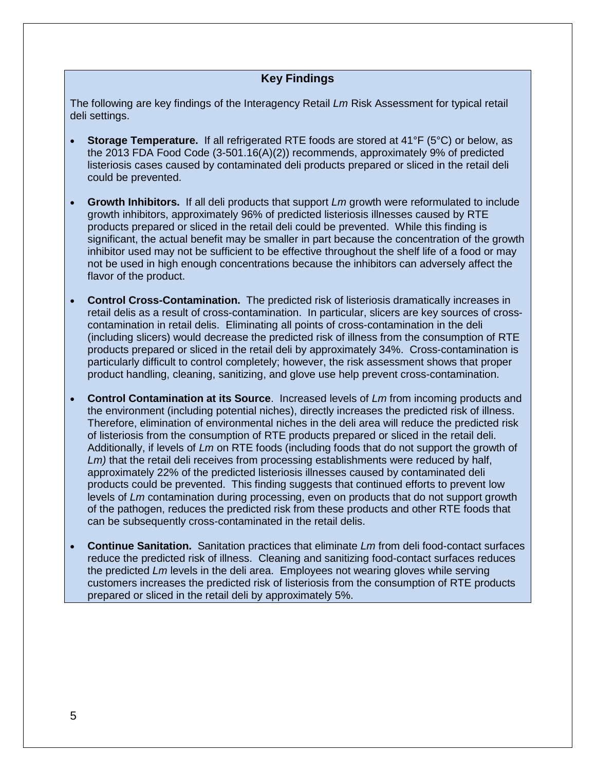## **Key Findings**

The following are key findings of the Interagency Retail *Lm* Risk Assessment for typical retail deli settings.

- **Storage Temperature.** If all refrigerated RTE foods are stored at 41°F (5°C) or below, as the 2013 FDA Food Code (3-501.16(A)(2)) recommends, approximately 9% of predicted listeriosis cases caused by contaminated deli products prepared or sliced in the retail deli could be prevented.
- **Growth Inhibitors.** If all deli products that support *Lm* growth were reformulated to include growth inhibitors, approximately 96% of predicted listeriosis illnesses caused by RTE products prepared or sliced in the retail deli could be prevented. While this finding is significant, the actual benefit may be smaller in part because the concentration of the growth inhibitor used may not be sufficient to be effective throughout the shelf life of a food or may not be used in high enough concentrations because the inhibitors can adversely affect the flavor of the product.
- **Control Cross-Contamination.** The predicted risk of listeriosis dramatically increases in retail delis as a result of cross-contamination. In particular, slicers are key sources of crosscontamination in retail delis. Eliminating all points of cross-contamination in the deli (including slicers) would decrease the predicted risk of illness from the consumption of RTE products prepared or sliced in the retail deli by approximately 34%. Cross-contamination is particularly difficult to control completely; however, the risk assessment shows that proper product handling, cleaning, sanitizing, and glove use help prevent cross-contamination.
- **Control Contamination at its Source**. Increased levels of *Lm* from incoming products and the environment (including potential niches), directly increases the predicted risk of illness. Therefore, elimination of environmental niches in the deli area will reduce the predicted risk of listeriosis from the consumption of RTE products prepared or sliced in the retail deli. Additionally, if levels of *Lm* on RTE foods (including foods that do not support the growth of Lm) that the retail deli receives from processing establishments were reduced by half, approximately 22% of the predicted listeriosis illnesses caused by contaminated deli products could be prevented. This finding suggests that continued efforts to prevent low levels of *Lm* contamination during processing, even on products that do not support growth of the pathogen, reduces the predicted risk from these products and other RTE foods that can be subsequently cross-contaminated in the retail delis.
- **Continue Sanitation.** Sanitation practices that eliminate *Lm* from deli food-contact surfaces reduce the predicted risk of illness. Cleaning and sanitizing food-contact surfaces reduces the predicted *Lm* levels in the deli area. Employees not wearing gloves while serving customers increases the predicted risk of listeriosis from the consumption of RTE products prepared or sliced in the retail deli by approximately 5%.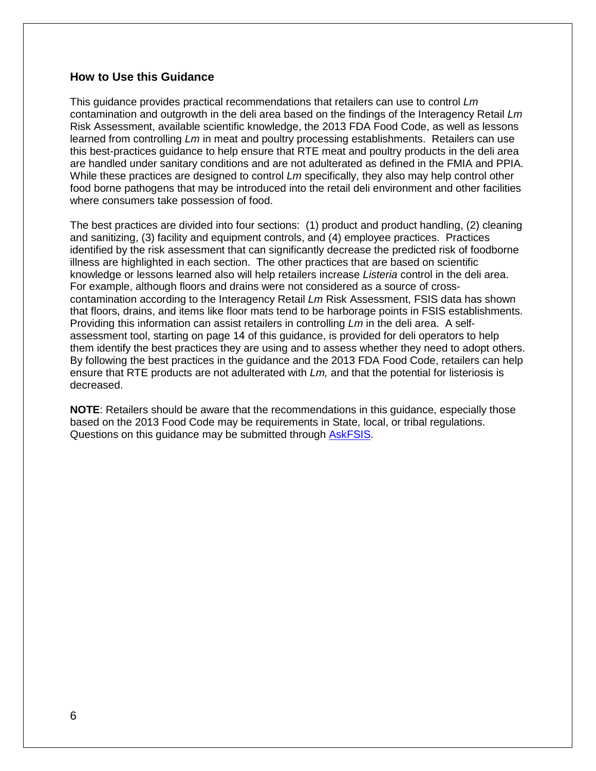## **How to Use this Guidance**

This guidance provides practical recommendations that retailers can use to control *Lm* contamination and outgrowth in the deli area based on the findings of the Interagency Retail *Lm* Risk Assessment, available scientific knowledge, the 2013 FDA Food Code, as well as lessons learned from controlling *Lm* in meat and poultry processing establishments. Retailers can use this best-practices guidance to help ensure that RTE meat and poultry products in the deli area are handled under sanitary conditions and are not adulterated as defined in the FMIA and PPIA. While these practices are designed to control *Lm* specifically, they also may help control other food borne pathogens that may be introduced into the retail deli environment and other facilities where consumers take possession of food.

The best practices are divided into four sections: (1) product and product handling, (2) cleaning and sanitizing, (3) facility and equipment controls, and (4) employee practices. Practices identified by the risk assessment that can significantly decrease the predicted risk of foodborne illness are highlighted in each section. The other practices that are based on scientific knowledge or lessons learned also will help retailers increase *Listeria* control in the deli area. For example, although floors and drains were not considered as a source of crosscontamination according to the Interagency Retail *Lm* Risk Assessment, FSIS data has shown that floors, drains, and items like floor mats tend to be harborage points in FSIS establishments. Providing this information can assist retailers in controlling *Lm* in the deli area. A selfassessment tool, starting on page 14 of this guidance, is provided for deli operators to help them identify the best practices they are using and to assess whether they need to adopt others. By following the best practices in the guidance and the 2013 FDA Food Code, retailers can help ensure that RTE products are not adulterated with *Lm,* and that the potential for listeriosis is decreased.

**NOTE**: Retailers should be aware that the recommendations in this guidance, especially those based on the 2013 Food Code may be requirements in State, local, or tribal regulations. Questions on this guidance may be submitted through [AskFSIS.](http://askfsis.custhelp.com/)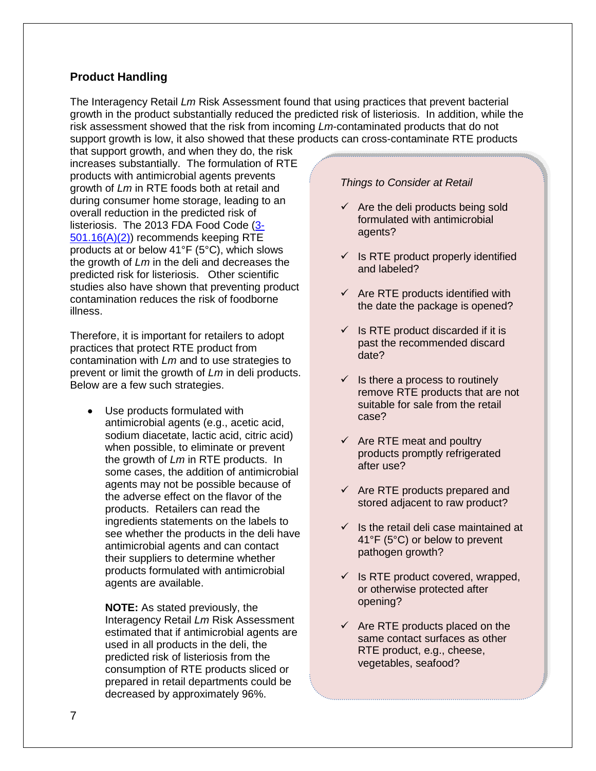## **Product Handling**

The Interagency Retail *Lm* Risk Assessment found that using practices that prevent bacterial growth in the product substantially reduced the predicted risk of listeriosis. In addition, while the risk assessment showed that the risk from incoming *Lm*-contaminated products that do not support growth is low, it also showed that these products can cross-contaminate RTE products

that support growth, and when they do, the risk increases substantially. The formulation of RTE products with antimicrobial agents prevents growth of *Lm* in RTE foods both at retail and during consumer home storage, leading to an overall reduction in the predicted risk of listeriosis. The 2013 FDA Food Code [\(3-](http://www.fda.gov/Food/GuidanceRegulation/RetailFoodProtection/FoodCode/ucm374275.htm) [501.16\(A\)\(2\)\)](http://www.fda.gov/Food/GuidanceRegulation/RetailFoodProtection/FoodCode/ucm374275.htm) recommends keeping RTE products at or below 41°F (5°C), which slows the growth of *Lm* in the deli and decreases the predicted risk for listeriosis. Other scientific studies also have shown that preventing product contamination reduces the risk of foodborne illness.

Therefore, it is important for retailers to adopt practices that protect RTE product from contamination with *Lm* and to use strategies to prevent or limit the growth of *Lm* in deli products. Below are a few such strategies.

Use products formulated with antimicrobial agents (e.g., acetic acid, sodium diacetate, lactic acid, citric acid) when possible, to eliminate or prevent the growth of *Lm* in RTE products. In some cases, the addition of antimicrobial agents may not be possible because of the adverse effect on the flavor of the products. Retailers can read the ingredients statements on the labels to see whether the products in the deli have antimicrobial agents and can contact their suppliers to determine whether products formulated with antimicrobial agents are available.

**NOTE:** As stated previously, the Interagency Retail *Lm* Risk Assessment estimated that if antimicrobial agents are used in all products in the deli, the predicted risk of listeriosis from the consumption of RTE products sliced or prepared in retail departments could be decreased by approximately 96%.

#### *Things to Consider at Retail*

- $\checkmark$  Are the deli products being sold formulated with antimicrobial agents?
- $\checkmark$  Is RTE product properly identified and labeled?
- $\checkmark$  Are RTE products identified with the date the package is opened?
- $\checkmark$  Is RTE product discarded if it is past the recommended discard date?
- $\checkmark$  Is there a process to routinely remove RTE products that are not suitable for sale from the retail case?
- $\checkmark$  Are RTE meat and poultry products promptly refrigerated after use?
- $\checkmark$  Are RTE products prepared and stored adjacent to raw product?
- $\checkmark$  Is the retail deli case maintained at 41°F (5°C) or below to prevent pathogen growth?
- $\checkmark$  Is RTE product covered, wrapped, or otherwise protected after opening?
- $\checkmark$  Are RTE products placed on the same contact surfaces as other RTE product, e.g., cheese, vegetables, seafood?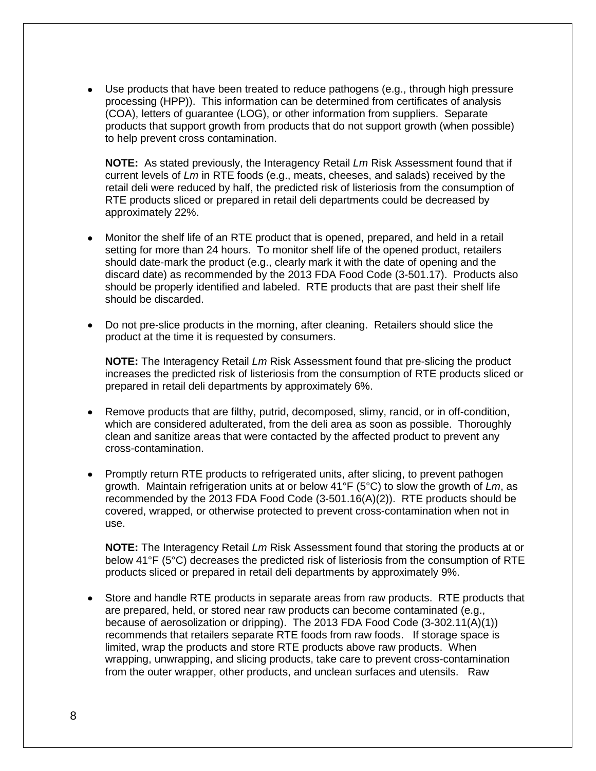• Use products that have been treated to reduce pathogens (e.g., through high pressure processing (HPP)). This information can be determined from certificates of analysis (COA), letters of guarantee (LOG), or other information from suppliers. Separate products that support growth from products that do not support growth (when possible) to help prevent cross contamination.

**NOTE:** As stated previously, the Interagency Retail *Lm* Risk Assessment found that if current levels of *Lm* in RTE foods (e.g., meats, cheeses, and salads) received by the retail deli were reduced by half, the predicted risk of listeriosis from the consumption of RTE products sliced or prepared in retail deli departments could be decreased by approximately 22%.

- Monitor the shelf life of an RTE product that is opened, prepared, and held in a retail setting for more than 24 hours. To monitor shelf life of the opened product, retailers should date-mark the product (e.g., clearly mark it with the date of opening and the discard date) as recommended by the 2013 FDA Food Code (3-501.17). Products also should be properly identified and labeled. RTE products that are past their shelf life should be discarded.
- Do not pre-slice products in the morning, after cleaning. Retailers should slice the product at the time it is requested by consumers.

**NOTE:** The Interagency Retail *Lm* Risk Assessment found that pre-slicing the product increases the predicted risk of listeriosis from the consumption of RTE products sliced or prepared in retail deli departments by approximately 6%.

- Remove products that are filthy, putrid, decomposed, slimy, rancid, or in off-condition, which are considered adulterated, from the deli area as soon as possible. Thoroughly clean and sanitize areas that were contacted by the affected product to prevent any cross-contamination.
- Promptly return RTE products to refrigerated units, after slicing, to prevent pathogen growth. Maintain refrigeration units at or below 41°F (5°C) to slow the growth of *Lm*, as recommended by the 2013 FDA Food Code (3-501.16(A)(2)). RTE products should be covered, wrapped, or otherwise protected to prevent cross-contamination when not in use.

**NOTE:** The Interagency Retail *Lm* Risk Assessment found that storing the products at or below 41°F (5°C) decreases the predicted risk of listeriosis from the consumption of RTE products sliced or prepared in retail deli departments by approximately 9%.

• Store and handle RTE products in separate areas from raw products. RTE products that are prepared, held, or stored near raw products can become contaminated (e.g., because of aerosolization or dripping). The 2013 FDA Food Code (3-302.11(A)(1)) recommends that retailers separate RTE foods from raw foods. If storage space is limited, wrap the products and store RTE products above raw products. When wrapping, unwrapping, and slicing products, take care to prevent cross-contamination from the outer wrapper, other products, and unclean surfaces and utensils. Raw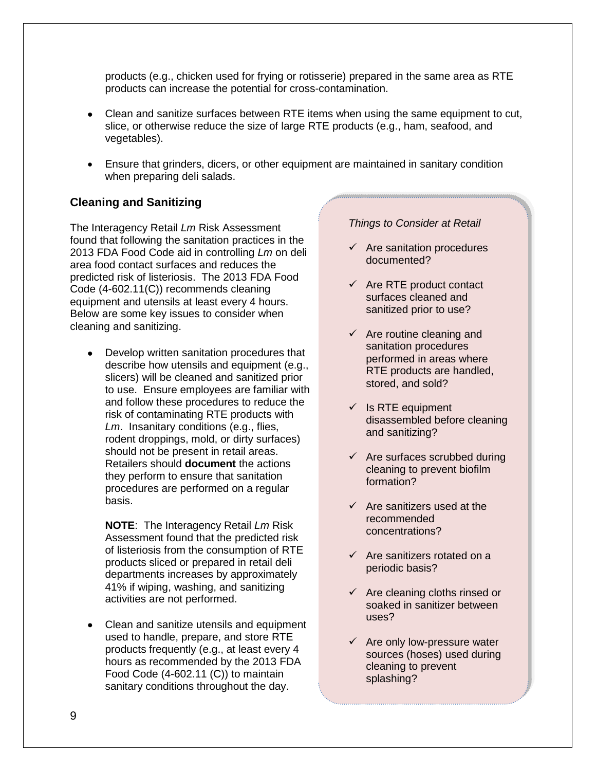products (e.g., chicken used for frying or rotisserie) prepared in the same area as RTE products can increase the potential for cross-contamination.

- Clean and sanitize surfaces between RTE items when using the same equipment to cut, slice, or otherwise reduce the size of large RTE products (e.g., ham, seafood, and vegetables).
- Ensure that grinders, dicers, or other equipment are maintained in sanitary condition when preparing deli salads.

## **Cleaning and Sanitizing**

The Interagency Retail *Lm* Risk Assessment found that following the sanitation practices in the 2013 FDA Food Code aid in controlling *Lm* on deli area food contact surfaces and reduces the predicted risk of listeriosis. The 2013 FDA Food Code (4-602.11(C)) recommends cleaning equipment and utensils at least every 4 hours. Below are some key issues to consider when cleaning and sanitizing.

• Develop written sanitation procedures that describe how utensils and equipment (e.g., slicers) will be cleaned and sanitized prior to use. Ensure employees are familiar with and follow these procedures to reduce the risk of contaminating RTE products with *Lm*. Insanitary conditions (e.g., flies, rodent droppings, mold, or dirty surfaces) should not be present in retail areas. Retailers should **document** the actions they perform to ensure that sanitation procedures are performed on a regular basis.

**NOTE**: The Interagency Retail *Lm* Risk Assessment found that the predicted risk of listeriosis from the consumption of RTE products sliced or prepared in retail deli departments increases by approximately 41% if wiping, washing, and sanitizing activities are not performed.

• Clean and sanitize utensils and equipment used to handle, prepare, and store RTE products frequently (e.g., at least every 4 hours as recommended by the 2013 FDA Food Code (4-602.11 (C)) to maintain sanitary conditions throughout the day.

#### *Things to Consider at Retail*

- $\checkmark$  Are sanitation procedures documented?
- $\checkmark$  Are RTE product contact surfaces cleaned and sanitized prior to use?
- $\checkmark$  Are routine cleaning and sanitation procedures performed in areas where RTE products are handled, stored, and sold?
- $\checkmark$  Is RTE equipment disassembled before cleaning and sanitizing?
- $\checkmark$  Are surfaces scrubbed during cleaning to prevent biofilm formation?
- $\checkmark$  Are sanitizers used at the recommended concentrations?
- $\checkmark$  Are sanitizers rotated on a periodic basis?
- $\checkmark$  Are cleaning cloths rinsed or soaked in sanitizer between uses?
- $\checkmark$  Are only low-pressure water sources (hoses) used during cleaning to prevent splashing?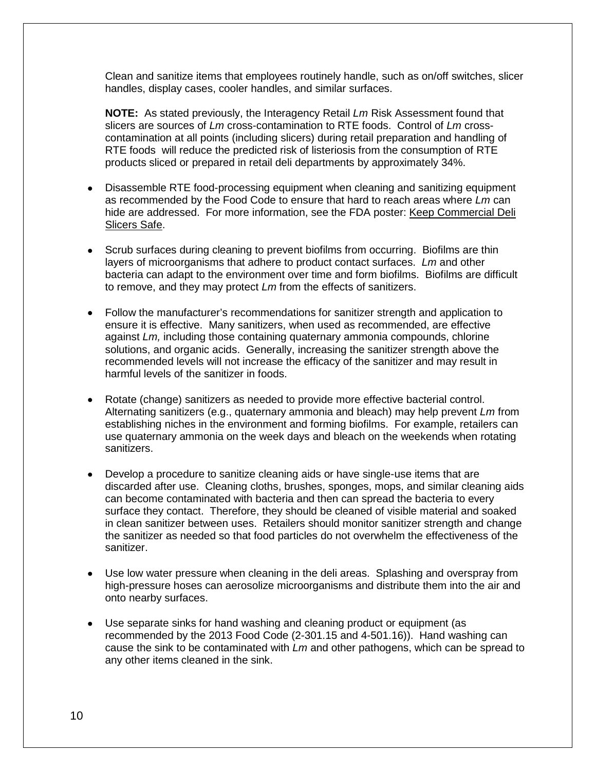Clean and sanitize items that employees routinely handle, such as on/off switches, slicer handles, display cases, cooler handles, and similar surfaces.

**NOTE:** As stated previously, the Interagency Retail *Lm* Risk Assessment found that slicers are sources of *Lm* cross-contamination to RTE foods. Control of *Lm* crosscontamination at all points (including slicers) during retail preparation and handling of RTE foods will reduce the predicted risk of listeriosis from the consumption of RTE products sliced or prepared in retail deli departments by approximately 34%.

- Disassemble RTE food-processing equipment when cleaning and sanitizing equipment as recommended by the Food Code to ensure that hard to reach areas where *Lm* can hide are addressed. For more information, see the FDA poster: [Keep Commercial Deli](http://www.fda.gov/downloads/Food/GuidanceRegulation/UCM240674.pdf)  [Slicers Safe.](http://www.fda.gov/downloads/Food/GuidanceRegulation/UCM240674.pdf)
- Scrub surfaces during cleaning to prevent biofilms from occurring. Biofilms are thin layers of microorganisms that adhere to product contact surfaces. *Lm* and other bacteria can adapt to the environment over time and form biofilms. Biofilms are difficult to remove, and they may protect *Lm* from the effects of sanitizers.
- Follow the manufacturer's recommendations for sanitizer strength and application to ensure it is effective. Many sanitizers, when used as recommended, are effective against *Lm,* including those containing quaternary ammonia compounds, chlorine solutions, and organic acids. Generally, increasing the sanitizer strength above the recommended levels will not increase the efficacy of the sanitizer and may result in harmful levels of the sanitizer in foods.
- Rotate (change) sanitizers as needed to provide more effective bacterial control. Alternating sanitizers (e.g., quaternary ammonia and bleach) may help prevent *Lm* from establishing niches in the environment and forming biofilms. For example, retailers can use quaternary ammonia on the week days and bleach on the weekends when rotating sanitizers.
- Develop a procedure to sanitize cleaning aids or have single-use items that are discarded after use. Cleaning cloths, brushes, sponges, mops, and similar cleaning aids can become contaminated with bacteria and then can spread the bacteria to every surface they contact. Therefore, they should be cleaned of visible material and soaked in clean sanitizer between uses. Retailers should monitor sanitizer strength and change the sanitizer as needed so that food particles do not overwhelm the effectiveness of the sanitizer.
- Use low water pressure when cleaning in the deli areas. Splashing and overspray from high-pressure hoses can aerosolize microorganisms and distribute them into the air and onto nearby surfaces.
- Use separate sinks for hand washing and cleaning product or equipment (as recommended by the 2013 Food Code (2-301.15 and 4-501.16)). Hand washing can cause the sink to be contaminated with *Lm* and other pathogens, which can be spread to any other items cleaned in the sink.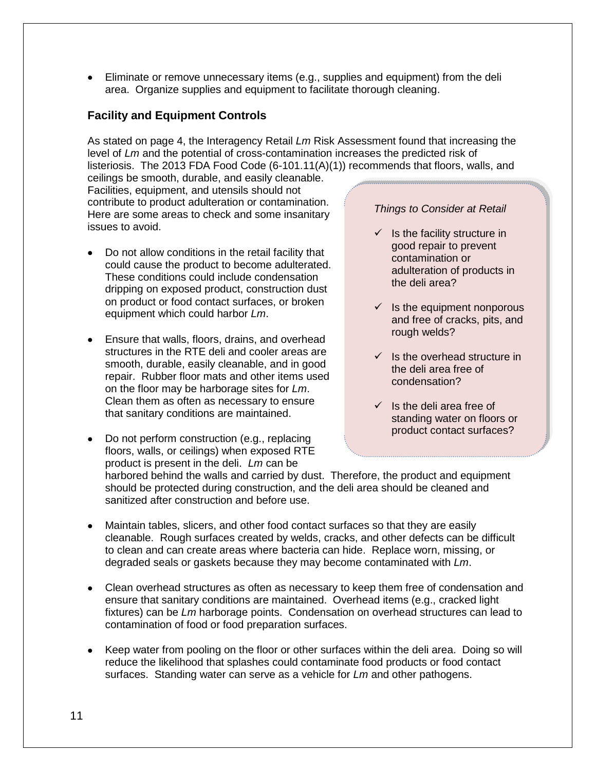• Eliminate or remove unnecessary items (e.g., supplies and equipment) from the deli area. Organize supplies and equipment to facilitate thorough cleaning.

## **Facility and Equipment Controls**

As stated on page 4, the Interagency Retail *Lm* Risk Assessment found that increasing the level of *Lm* and the potential of cross-contamination increases the predicted risk of listeriosis. The 2013 FDA Food Code (6-101.11(A)(1)) recommends that floors, walls, and

ceilings be smooth, durable, and easily cleanable. Facilities, equipment, and utensils should not contribute to product adulteration or contamination. Here are some areas to check and some insanitary issues to avoid.

- Do not allow conditions in the retail facility that could cause the product to become adulterated. These conditions could include condensation dripping on exposed product, construction dust on product or food contact surfaces, or broken equipment which could harbor *Lm*.
- Ensure that walls, floors, drains, and overhead structures in the RTE deli and cooler areas are smooth, durable, easily cleanable, and in good repair. Rubber floor mats and other items used on the floor may be harborage sites for *Lm*. Clean them as often as necessary to ensure that sanitary conditions are maintained.
- Do not perform construction (e.g., replacing floors, walls, or ceilings) when exposed RTE product is present in the deli. *Lm* can be

#### *Things to Consider at Retail*

- $\checkmark$  Is the facility structure in good repair to prevent contamination or adulteration of products in the deli area?
- $\checkmark$  Is the equipment nonporous and free of cracks, pits, and rough welds?
- $\checkmark$  Is the overhead structure in the deli area free of condensation?
- $\checkmark$  Is the deli area free of standing water on floors or product contact surfaces?

harbored behind the walls and carried by dust. Therefore, the product and equipment should be protected during construction, and the deli area should be cleaned and sanitized after construction and before use.

- Maintain tables, slicers, and other food contact surfaces so that they are easily cleanable. Rough surfaces created by welds, cracks, and other defects can be difficult to clean and can create areas where bacteria can hide. Replace worn, missing, or degraded seals or gaskets because they may become contaminated with *Lm*.
- Clean overhead structures as often as necessary to keep them free of condensation and ensure that sanitary conditions are maintained. Overhead items (e.g., cracked light fixtures) can be *Lm* harborage points. Condensation on overhead structures can lead to contamination of food or food preparation surfaces.
- Keep water from pooling on the floor or other surfaces within the deli area. Doing so will reduce the likelihood that splashes could contaminate food products or food contact surfaces. Standing water can serve as a vehicle for *Lm* and other pathogens.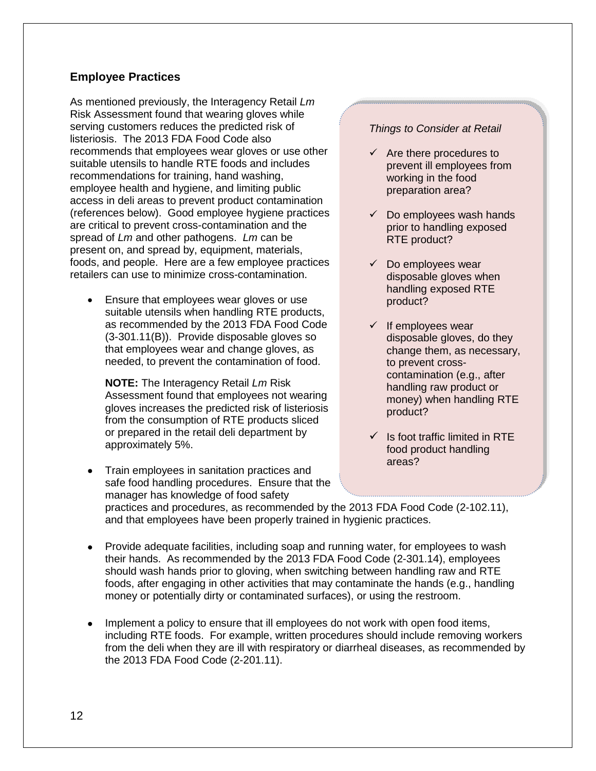## **Employee Practices**

As mentioned previously, the Interagency Retail *Lm* Risk Assessment found that wearing gloves while serving customers reduces the predicted risk of listeriosis. The 2013 FDA Food Code also recommends that employees wear gloves or use other suitable utensils to handle RTE foods and includes recommendations for training, hand washing, employee health and hygiene, and limiting public access in deli areas to prevent product contamination (references below). Good employee hygiene practices are critical to prevent cross-contamination and the spread of *Lm* and other pathogens. *Lm* can be present on, and spread by, equipment, materials, foods, and people. Here are a few employee practices retailers can use to minimize cross-contamination.

• Ensure that employees wear gloves or use suitable utensils when handling RTE products, as recommended by the 2013 FDA Food Code (3-301.11(B)). Provide disposable gloves so that employees wear and change gloves, as needed, to prevent the contamination of food.

**NOTE:** The Interagency Retail *Lm* Risk Assessment found that employees not wearing gloves increases the predicted risk of listeriosis from the consumption of RTE products sliced or prepared in the retail deli department by approximately 5%.

- Train employees in sanitation practices and safe food handling procedures. Ensure that the manager has knowledge of food safety practices and procedures, as recommended by the 2013 FDA Food Code (2-102.11), and that employees have been properly trained in hygienic practices.
- Provide adequate facilities, including soap and running water, for employees to wash their hands. As recommended by the 2013 FDA Food Code (2-301.14), employees should wash hands prior to gloving, when switching between handling raw and RTE foods, after engaging in other activities that may contaminate the hands (e.g., handling money or potentially dirty or contaminated surfaces), or using the restroom.
- Implement a policy to ensure that ill employees do not work with open food items, including RTE foods. For example, written procedures should include removing workers from the deli when they are ill with respiratory or diarrheal diseases, as recommended by the 2013 FDA Food Code (2-201.11).

#### *Things to Consider at Retail*

- $\checkmark$  Are there procedures to prevent ill employees from working in the food preparation area?
- $\checkmark$  Do employees wash hands prior to handling exposed RTE product?
- $\checkmark$  Do employees wear disposable gloves when handling exposed RTE product?
- $\checkmark$  If employees wear disposable gloves, do they change them, as necessary, to prevent crosscontamination (e.g., after handling raw product or money) when handling RTE product?
- $\checkmark$  Is foot traffic limited in RTE food product handling areas?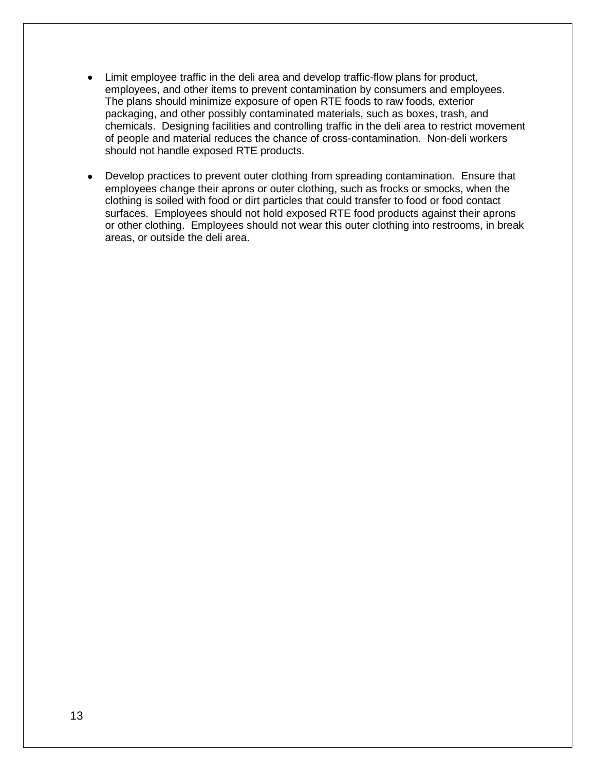- Limit employee traffic in the deli area and develop traffic-flow plans for product, employees, and other items to prevent contamination by consumers and employees. The plans should minimize exposure of open RTE foods to raw foods, exterior packaging, and other possibly contaminated materials, such as boxes, trash, and chemicals. Designing facilities and controlling traffic in the deli area to restrict movement of people and material reduces the chance of cross-contamination. Non-deli workers should not handle exposed RTE products.
- Develop practices to prevent outer clothing from spreading contamination. Ensure that employees change their aprons or outer clothing, such as frocks or smocks, when the clothing is soiled with food or dirt particles that could transfer to food or food contact surfaces. Employees should not hold exposed RTE food products against their aprons or other clothing. Employees should not wear this outer clothing into restrooms, in break areas, or outside the deli area.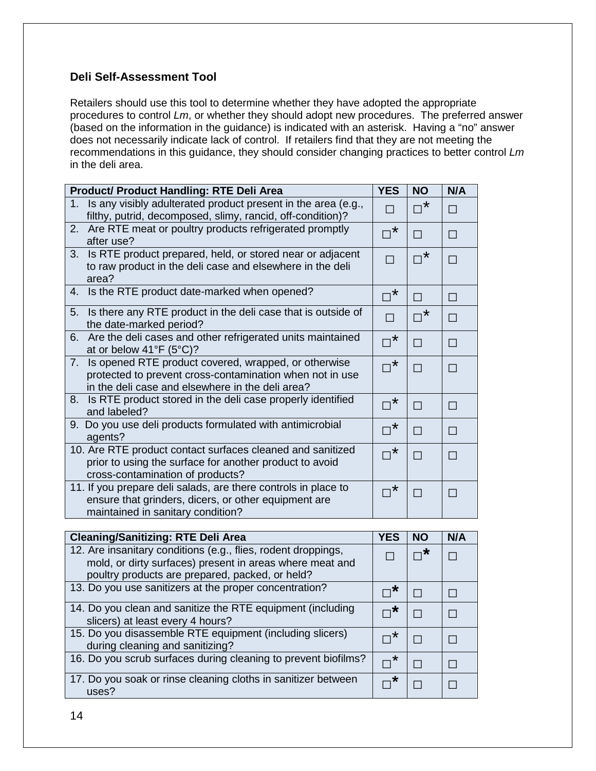## **Deli Self-Assessment Tool**

Retailers should use this tool to determine whether they have adopted the appropriate procedures to control *Lm*, or whether they should adopt new procedures. The preferred answer (based on the information in the guidance) is indicated with an asterisk. Having a "no" answer does not necessarily indicate lack of control. If retailers find that they are not meeting the recommendations in this guidance, they should consider changing practices to better control *Lm* in the deli area.

| <b>Product/ Product Handling: RTE Deli Area</b>                                                                                                                                                        | <b>YES</b>                          | <b>NO</b>            | N/A            |
|--------------------------------------------------------------------------------------------------------------------------------------------------------------------------------------------------------|-------------------------------------|----------------------|----------------|
| Is any visibly adulterated product present in the area (e.g.,<br>$1_{-}$<br>filthy, putrid, decomposed, slimy, rancid, off-condition)?                                                                 |                                     | $\Box^*$             | П              |
| Are RTE meat or poultry products refrigerated promptly<br>2.<br>after use?                                                                                                                             | $\star$<br>$\overline{\phantom{a}}$ | П                    | П              |
| Is RTE product prepared, held, or stored near or adjacent<br>3.<br>to raw product in the deli case and elsewhere in the deli<br>area?                                                                  |                                     | $\mathbb{D}^{\star}$ | П              |
| Is the RTE product date-marked when opened?<br>4.                                                                                                                                                      | $\ast$                              | П                    | П              |
| Is there any RTE product in the deli case that is outside of<br>5.<br>the date-marked period?                                                                                                          | П                                   | ,*<br>П              | П              |
| Are the deli cases and other refrigerated units maintained<br>6.<br>at or below $41^{\circ}F(5^{\circ}C)?$                                                                                             | $\nabla^*$                          | П                    | П              |
| Is opened RTE product covered, wrapped, or otherwise<br>$7_{\scriptscriptstyle{\sim}}$<br>protected to prevent cross-contamination when not in use<br>in the deli case and elsewhere in the deli area? | $\nabla^{\star}$                    | П                    | $\blacksquare$ |
| Is RTE product stored in the deli case properly identified<br>8.<br>and labeled?                                                                                                                       | $\sigma^{\star}$                    | П                    | П              |
| Do you use deli products formulated with antimicrobial<br>9.<br>agents?                                                                                                                                | $\star$<br>$\Box$                   | П                    | П              |
| 10. Are RTE product contact surfaces cleaned and sanitized<br>prior to using the surface for another product to avoid<br>cross-contamination of products?                                              | $\nabla^{\star}$                    | П                    | П              |
| 11. If you prepare deli salads, are there controls in place to<br>ensure that grinders, dicers, or other equipment are<br>maintained in sanitary condition?                                            | $\ast$                              | П                    | $\blacksquare$ |

| <b>Cleaning/Sanitizing: RTE Deli Area</b>                                                                                                                                    | YES                      | <b>NO</b>           | N/A |
|------------------------------------------------------------------------------------------------------------------------------------------------------------------------------|--------------------------|---------------------|-----|
| 12. Are insanitary conditions (e.g., flies, rodent droppings,<br>mold, or dirty surfaces) present in areas where meat and<br>poultry products are prepared, packed, or held? |                          | $\sqcap^{\bigstar}$ |     |
| 13. Do you use sanitizers at the proper concentration?                                                                                                                       | $\mathsf{\Pi}^\star$     |                     |     |
| 14. Do you clean and sanitize the RTE equipment (including<br>slicers) at least every 4 hours?                                                                               | $\sqcap^{\bigstar}$      |                     | П   |
| 15. Do you disassemble RTE equipment (including slicers)<br>during cleaning and sanitizing?                                                                                  | $\star$<br>$\Box$        |                     |     |
| 16. Do you scrub surfaces during cleaning to prevent biofilms?                                                                                                               | $\mathbin{\sqcap}^\star$ |                     |     |
| 17. Do you soak or rinse cleaning cloths in sanitizer between<br>uses?                                                                                                       |                          |                     |     |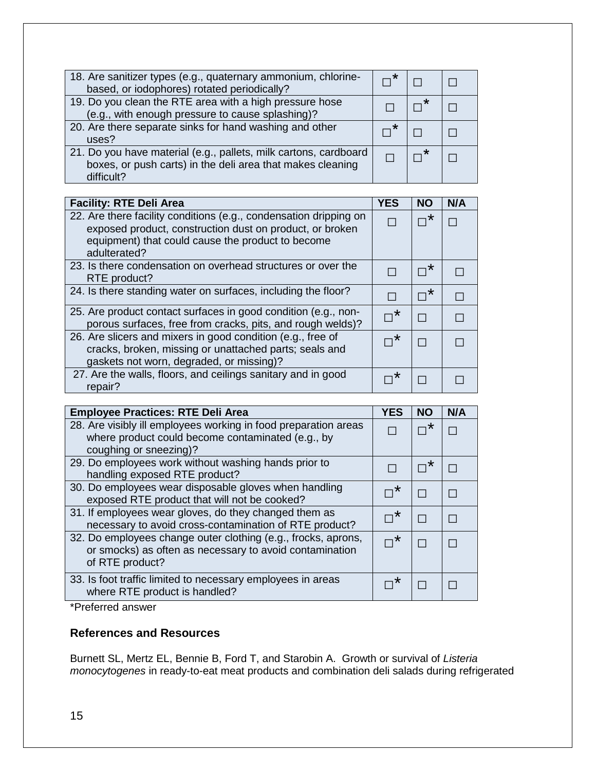| 18. Are sanitizer types (e.g., quaternary ammonium, chlorine-<br>based, or iodophores) rotated periodically?                                 |  |  |
|----------------------------------------------------------------------------------------------------------------------------------------------|--|--|
| 19. Do you clean the RTE area with a high pressure hose<br>(e.g., with enough pressure to cause splashing)?                                  |  |  |
| 20. Are there separate sinks for hand washing and other<br>uses?                                                                             |  |  |
| 21. Do you have material (e.g., pallets, milk cartons, cardboard<br>boxes, or push carts) in the deli area that makes cleaning<br>difficult? |  |  |

| <b>Facility: RTE Deli Area</b>                                                                                                                                                                     | <b>YES</b> | <b>NO</b> | N/A |
|----------------------------------------------------------------------------------------------------------------------------------------------------------------------------------------------------|------------|-----------|-----|
| 22. Are there facility conditions (e.g., condensation dripping on<br>exposed product, construction dust on product, or broken<br>equipment) that could cause the product to become<br>adulterated? |            | *         |     |
| 23. Is there condensation on overhead structures or over the<br>RTE product?                                                                                                                       |            | $\ast$    |     |
| 24. Is there standing water on surfaces, including the floor?                                                                                                                                      |            | $\star$   |     |
| 25. Are product contact surfaces in good condition (e.g., non-<br>porous surfaces, free from cracks, pits, and rough welds)?                                                                       | $\star$    |           |     |
| 26. Are slicers and mixers in good condition (e.g., free of<br>cracks, broken, missing or unattached parts; seals and<br>gaskets not worn, degraded, or missing)?                                  | $\star$    |           |     |
| 27. Are the walls, floors, and ceilings sanitary and in good<br>repair?                                                                                                                            |            |           |     |

| <b>Employee Practices: RTE Deli Area</b>                                                                                                       | <b>YES</b>          | <b>NO</b> | N/A |
|------------------------------------------------------------------------------------------------------------------------------------------------|---------------------|-----------|-----|
| 28. Are visibly ill employees working in food preparation areas<br>where product could become contaminated (e.g., by<br>coughing or sneezing)? |                     |           |     |
| 29. Do employees work without washing hands prior to<br>handling exposed RTE product?                                                          |                     |           |     |
| 30. Do employees wear disposable gloves when handling<br>exposed RTE product that will not be cooked?                                          |                     |           |     |
| 31. If employees wear gloves, do they changed them as<br>necessary to avoid cross-contamination of RTE product?                                | $\star$             |           |     |
| 32. Do employees change outer clothing (e.g., frocks, aprons,<br>or smocks) as often as necessary to avoid contamination<br>of RTE product?    | $\sqcap^{\bigstar}$ |           |     |
| 33. Is foot traffic limited to necessary employees in areas<br>where RTE product is handled?                                                   | *                   |           |     |

\*Preferred answer

## **References and Resources**

Burnett SL, Mertz EL, Bennie B, Ford T, and Starobin A. Growth or survival of *Listeria monocytogenes* in ready-to-eat meat products and combination deli salads during refrigerated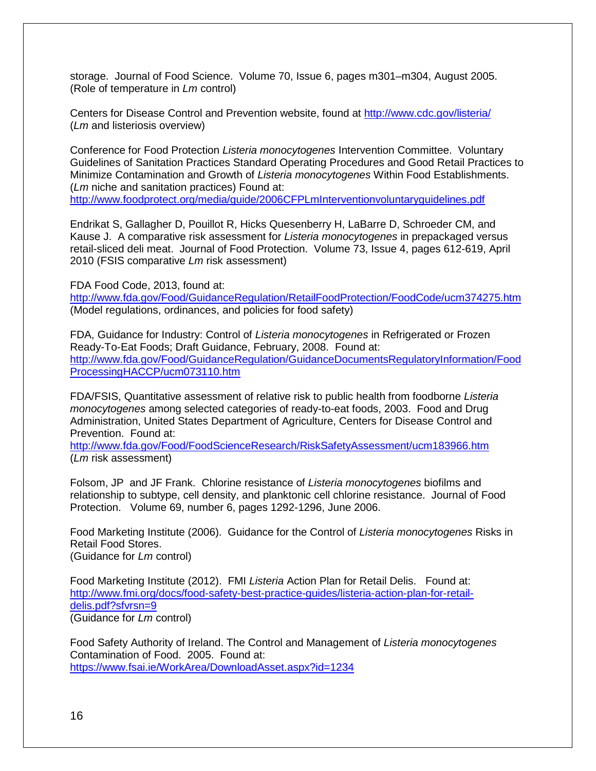storage. Journal of Food Science. Volume 70, Issue 6, pages m301–m304, August 2005. (Role of temperature in *Lm* control)

Centers for Disease Control and Prevention website, found at<http://www.cdc.gov/listeria/> (*Lm* and listeriosis overview)

Conference for Food Protection *Listeria monocytogenes* Intervention Committee. Voluntary Guidelines of Sanitation Practices Standard Operating Procedures and Good Retail Practices to Minimize Contamination and Growth of *Listeria monocytogenes* Within Food Establishments. (*Lm* niche and sanitation practices) Found at: <http://www.foodprotect.org/media/guide/2006CFPLmInterventionvoluntaryguidelines.pdf>

Endrikat S, Gallagher D, Pouillot R, Hicks Quesenberry H, LaBarre D, Schroeder CM, and Kause J. A comparative risk assessment for *Listeria monocytogenes* in prepackaged versus retail-sliced deli meat. Journal of Food Protection. Volume 73, Issue 4, pages 612-619, April 2010 (FSIS comparative *Lm* risk assessment)

FDA Food Code, 2013, found at:

<http://www.fda.gov/Food/GuidanceRegulation/RetailFoodProtection/FoodCode/ucm374275.htm> (Model regulations, ordinances, and policies for food safety)

FDA, Guidance for Industry: Control of *Listeria monocytogenes* in Refrigerated or Frozen Ready-To-Eat Foods; Draft Guidance, February, 2008. Found at: [http://www.fda.gov/Food/GuidanceRegulation/GuidanceDocumentsRegulatoryInformation/Food](http://www.fda.gov/Food/GuidanceRegulation/GuidanceDocumentsRegulatoryInformation/FoodProcessingHACCP/ucm073110.htm) [ProcessingHACCP/ucm073110.htm](http://www.fda.gov/Food/GuidanceRegulation/GuidanceDocumentsRegulatoryInformation/FoodProcessingHACCP/ucm073110.htm)

FDA/FSIS, Quantitative assessment of relative risk to public health from foodborne *Listeria monocytogenes* among selected categories of ready-to-eat foods, 2003. Food and Drug Administration, United States Department of Agriculture, Centers for Disease Control and Prevention. Found at:

<http://www.fda.gov/Food/FoodScienceResearch/RiskSafetyAssessment/ucm183966.htm> (*Lm* risk assessment)

Folsom, JP and JF Frank. Chlorine resistance of *Listeria monocytogenes* biofilms and relationship to subtype, cell density, and planktonic cell chlorine resistance. Journal of Food Protection. Volume 69, number 6, pages 1292-1296, June 2006.

Food Marketing Institute (2006). Guidance for the Control of *Listeria monocytogenes* Risks in Retail Food Stores. (Guidance for *Lm* control)

Food Marketing Institute (2012). FMI *Listeria* Action Plan for Retail Delis. Found at: [http://www.fmi.org/docs/food-safety-best-practice-guides/listeria-action-plan-for-retail](http://www.fmi.org/docs/food-safety-best-practice-guides/listeria-action-plan-for-retail-delis.pdf?sfvrsn=9)[delis.pdf?sfvrsn=9](http://www.fmi.org/docs/food-safety-best-practice-guides/listeria-action-plan-for-retail-delis.pdf?sfvrsn=9) (Guidance for *Lm* control)

Food Safety Authority of Ireland. The Control and Management of *Listeria monocytogenes* Contamination of Food. 2005. Found at: <https://www.fsai.ie/WorkArea/DownloadAsset.aspx?id=1234>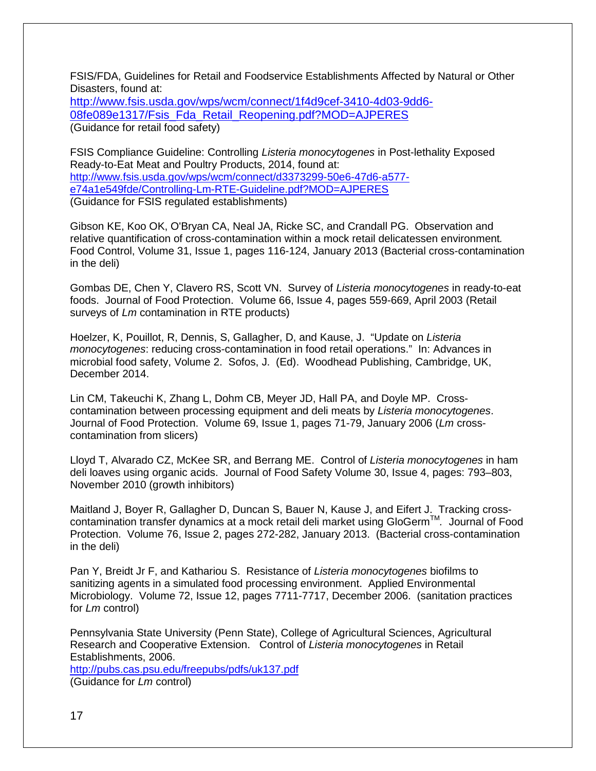FSIS/FDA, Guidelines for Retail and Foodservice Establishments Affected by Natural or Other Disasters, found at:

[http://www.fsis.usda.gov/wps/wcm/connect/1f4d9cef-3410-4d03-9dd6-](http://www.fsis.usda.gov/wps/wcm/connect/1f4d9cef-3410-4d03-9dd6-08fe089e1317/Fsis_Fda_Retail_Reopening.pdf?MOD=AJPERES) [08fe089e1317/Fsis\\_Fda\\_Retail\\_Reopening.pdf?MOD=AJPERES](http://www.fsis.usda.gov/wps/wcm/connect/1f4d9cef-3410-4d03-9dd6-08fe089e1317/Fsis_Fda_Retail_Reopening.pdf?MOD=AJPERES) (Guidance for retail food safety)

FSIS Compliance Guideline: Controlling *Listeria monocytogenes* in Post-lethality Exposed Ready-to-Eat Meat and Poultry Products, 2014, found at: [http://www.fsis.usda.gov/wps/wcm/connect/d3373299-50e6-47d6-a577](http://www.fsis.usda.gov/wps/wcm/connect/d3373299-50e6-47d6-a577-e74a1e549fde/Controlling-Lm-RTE-Guideline.pdf?MOD=AJPERES) [e74a1e549fde/Controlling-Lm-RTE-Guideline.pdf?MOD=AJPERES](http://www.fsis.usda.gov/wps/wcm/connect/d3373299-50e6-47d6-a577-e74a1e549fde/Controlling-Lm-RTE-Guideline.pdf?MOD=AJPERES) (Guidance for FSIS regulated establishments)

Gibson KE, Koo OK, O'Bryan CA, Neal JA, Ricke SC, and Crandall PG. Observation and relative quantification of cross-contamination within a mock retail delicatessen environment*.*  Food Control, Volume 31, Issue 1, pages 116-124, January 2013 (Bacterial cross-contamination in the deli)

Gombas DE, Chen Y, Clavero RS, Scott VN. Survey of *Listeria monocytogenes* in ready-to-eat foods. Journal of Food Protection. Volume 66, Issue 4, pages 559-669, April 2003 (Retail surveys of *Lm* contamination in RTE products)

Hoelzer, K, Pouillot, R, Dennis, S, Gallagher, D, and Kause, J. "Update on *Listeria monocytogenes*: reducing cross-contamination in food retail operations." In: Advances in microbial food safety, Volume 2. Sofos, J. (Ed). Woodhead Publishing, Cambridge, UK, December 2014.

Lin CM, Takeuchi K, Zhang L, Dohm CB, Meyer JD, Hall PA, and Doyle MP. Crosscontamination between processing equipment and deli meats by *Listeria monocytogenes*. Journal of Food Protection. Volume 69, Issue 1, pages 71-79, January 2006 (*Lm* crosscontamination from slicers)

Lloyd T, Alvarado CZ, McKee SR, and Berrang ME. Control of *Listeria monocytogenes* in ham deli loaves using organic acids. Journal of Food Safety Volume 30, Issue 4, pages: 793–803, November 2010 (growth inhibitors)

Maitland J, Boyer R, Gallagher D, Duncan S, Bauer N, Kause J, and Eifert J. Tracking crosscontamination transfer dynamics at a mock retail deli market using GloGermTM*.* Journal of Food Protection. Volume 76, Issue 2, pages 272-282, January 2013. (Bacterial cross-contamination in the deli)

Pan Y, Breidt Jr F, and Kathariou S. Resistance of *Listeria monocytogenes* biofilms to sanitizing agents in a simulated food processing environment. Applied Environmental Microbiology. Volume 72, Issue 12, pages 7711-7717, December 2006. (sanitation practices for *Lm* control)

Pennsylvania State University (Penn State), College of Agricultural Sciences, Agricultural Research and Cooperative Extension. Control of *Listeria monocytogenes* in Retail Establishments, 2006.

<http://pubs.cas.psu.edu/freepubs/pdfs/uk137.pdf> (Guidance for *Lm* control)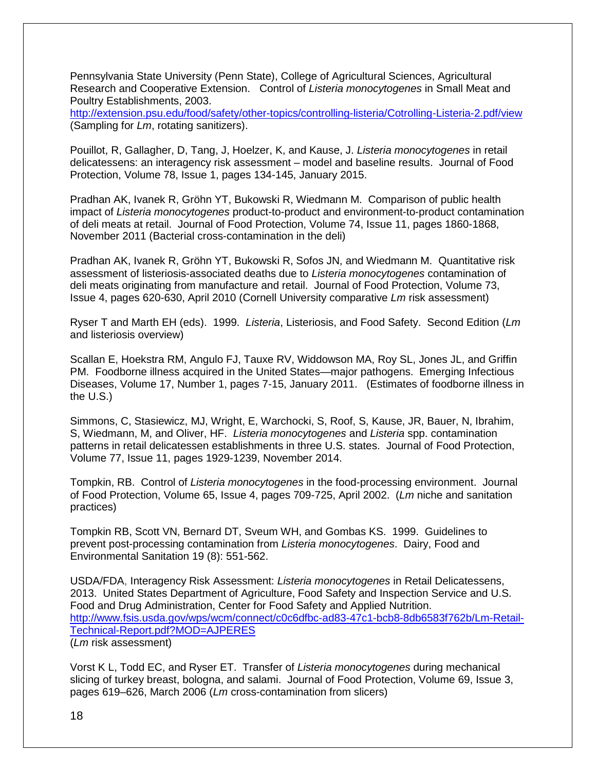Pennsylvania State University (Penn State), College of Agricultural Sciences, Agricultural Research and Cooperative Extension. Control of *Listeria monocytogenes* in Small Meat and Poultry Establishments, 2003.

<http://extension.psu.edu/food/safety/other-topics/controlling-listeria/Cotrolling-Listeria-2.pdf/view> (Sampling for *Lm*, rotating sanitizers).

Pouillot, R, Gallagher, D, Tang, J, Hoelzer, K, and Kause, J. *Listeria monocytogenes* in retail delicatessens: an interagency risk assessment – model and baseline results. Journal of Food Protection, Volume 78, Issue 1, pages 134-145, January 2015.

Pradhan AK, Ivanek R, Gröhn YT, Bukowski R, Wiedmann M. Comparison of public health impact of *Listeria monocytogenes* product-to-product and environment-to-product contamination of deli meats at retail. Journal of Food Protection, Volume 74, Issue 11, pages 1860-1868, November 2011 (Bacterial cross-contamination in the deli)

Pradhan AK, Ivanek R, Gröhn YT, Bukowski R, Sofos JN, and Wiedmann M. Quantitative risk assessment of listeriosis-associated deaths due to *Listeria monocytogenes* contamination of deli meats originating from manufacture and retail. Journal of Food Protection, Volume 73, Issue 4, pages 620-630, April 2010 (Cornell University comparative *Lm* risk assessment)

Ryser T and Marth EH (eds). 1999. *Listeria*, Listeriosis, and Food Safety. Second Edition (*Lm* and listeriosis overview)

Scallan E, Hoekstra RM, Angulo FJ, Tauxe RV, Widdowson MA, Roy SL, Jones JL, and Griffin PM. Foodborne illness acquired in the United States—major pathogens. Emerging Infectious Diseases, Volume 17, Number 1, pages 7-15, January 2011. (Estimates of foodborne illness in the U.S.)

Simmons, C, Stasiewicz, MJ, Wright, E, Warchocki, S, Roof, S, Kause, JR, Bauer, N, Ibrahim, S, Wiedmann, M, and Oliver, HF. *Listeria monocytogenes* and *Listeria* spp. contamination patterns in retail delicatessen establishments in three U.S. states. Journal of Food Protection, Volume 77, Issue 11, pages 1929-1239, November 2014.

Tompkin, RB. Control of *Listeria monocytogenes* in the food-processing environment. Journal of Food Protection, Volume 65, Issue 4, pages 709-725, April 2002. (*Lm* niche and sanitation practices)

Tompkin RB, Scott VN, Bernard DT, Sveum WH, and Gombas KS. 1999. Guidelines to prevent post-processing contamination from *Listeria monocytogenes*. Dairy, Food and Environmental Sanitation 19 (8): 551-562.

USDA/FDA, Interagency Risk Assessment: *Listeria monocytogenes* in Retail Delicatessens, 2013. United States Department of Agriculture, Food Safety and Inspection Service and U.S. Food and Drug Administration, Center for Food Safety and Applied Nutrition. [http://www.fsis.usda.gov/wps/wcm/connect/c0c6dfbc-ad83-47c1-bcb8-8db6583f762b/Lm-Retail-](http://www.fsis.usda.gov/wps/wcm/connect/c0c6dfbc-ad83-47c1-bcb8-8db6583f762b/Lm-Retail-Technical-Report.pdf?MOD=AJPERES)[Technical-Report.pdf?MOD=AJPERES](http://www.fsis.usda.gov/wps/wcm/connect/c0c6dfbc-ad83-47c1-bcb8-8db6583f762b/Lm-Retail-Technical-Report.pdf?MOD=AJPERES) (*Lm* risk assessment)

Vorst K L, Todd EC, and Ryser ET. Transfer of *Listeria monocytogenes* during mechanical slicing of turkey breast, bologna, and salami. Journal of Food Protection, Volume 69, Issue 3, pages 619–626, March 2006 (*Lm* cross-contamination from slicers)